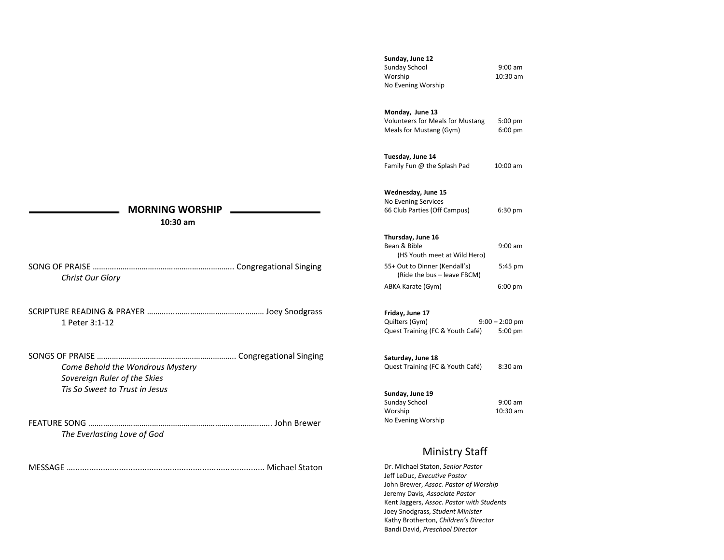# **Sunday, June 12**  Sunday School 9:00 am Worship 10:30 am No Evening Worship

# **Monday, June 13**

Volunteers for Meals for Mustang 5:00 pm Meals for Mustang (Gym) 6:00 pm

# **Tuesday, June 14**

Family Fun @ the Splash Pad 10:00 am

# **Wednesday, June 15**

No Evening Services 66 Club Parties (Off Campus) 6:30 pm

## **Thursday, June 16**

| Bean & Bible                                                 | $9:00$ am |
|--------------------------------------------------------------|-----------|
| (HS Youth meet at Wild Hero)                                 |           |
| 55+ Out to Dinner (Kendall's)<br>(Ride the bus - leave FBCM) | 5:45 pm   |
| ABKA Karate (Gym)                                            | $6:00$ pm |

#### **Friday, June 17**

Quilters (Gym) 9:00 – 2:00 pm Quest Training (FC & Youth Café) 5:00 pm

## **Saturday, June 18**

Quest Training (FC & Youth Café) 8:30 am

# **Sunday, June 19**

| Sunday School      | $9:00$ am  |
|--------------------|------------|
| Worship            | $10:30$ am |
| No Evening Worship |            |

# Ministry Staff

Dr. Michael Staton, *Senior Pastor* Jeff LeDuc, *Executive Pastor* John Brewer, *Assoc. Pastor of Worship* Jeremy Davis, *Associate Pastor* Kent Jaggers, *Assoc. Pastor with Students* Joey Snodgrass, *Student Minister* Kathy Brotherton, *Children's Director* Bandi David, *Preschool Director*

# **MORNING WORSHIP**

 **10:30 am**

SONG OF PRAISE …….….……………………………………………….. Congregational Singing *Christ Our Glory*

SCRIPTURE READING & PRAYER ……….....…………………………..……… Joey Snodgrass 1 Peter 3:1-12

SONGS OF PRAISE …….………………………………………………….. Congregational Singing *Come Behold the Wondrous Mystery Sovereign Ruler of the Skies Tis So Sweet to Trust in Jesus*

FEATURE SONG …….…..…………………………………………………………….….. John Brewer *The Everlasting Love of God*

MESSAGE …................................................................................... Michael Staton